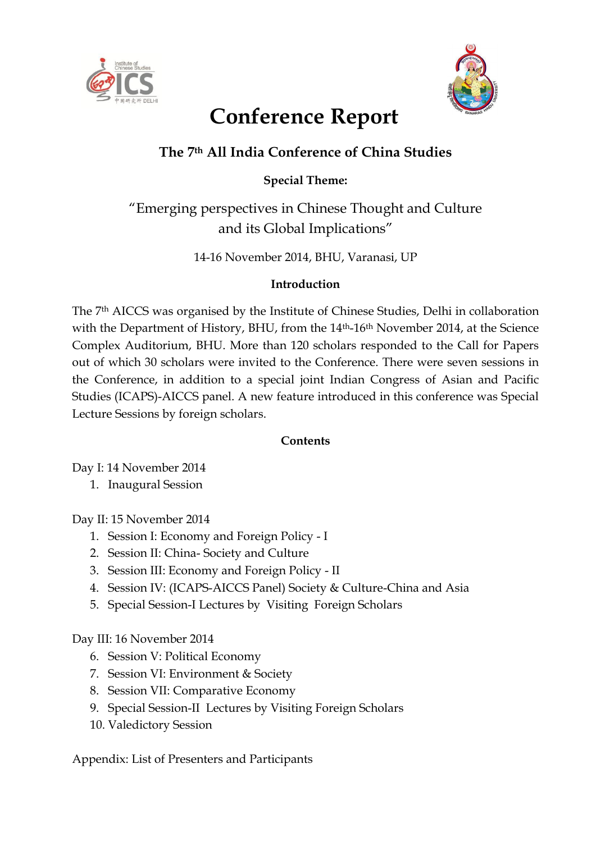



# **Conference Report**

# **The 7th All India Conference of China Studies**

# **Special Theme:**

"Emerging perspectives in Chinese Thought and Culture and its Global Implications"

14-16 November 2014, BHU, Varanasi, UP

## **Introduction**

The 7th AICCS was organised by the Institute of Chinese Studies, Delhi in collaboration with the Department of History, BHU, from the 14<sup>th</sup>-16<sup>th</sup> November 2014, at the Science Complex Auditorium, BHU. More than 120 scholars responded to the Call for Papers out of which 30 scholars were invited to the Conference. There were seven sessions in the Conference, in addition to a special joint Indian Congress of Asian and Pacific Studies (ICAPS)-AICCS panel. A new feature introduced in this conference was Special Lecture Sessions by foreign scholars.

## **Contents**

Day I: 14 November 2014

1. Inaugural Session

Day II: 15 November 2014

- 1. Session I: Economy and Foreign Policy I
- 2. Session II: China- Society and Culture
- 3. Session III: Economy and Foreign Policy II
- 4. Session IV: (ICAPS-AICCS Panel) Society & Culture-China and Asia
- 5. Special Session-I Lectures by Visiting Foreign Scholars

# Day III: 16 November 2014

- 6. Session V: Political Economy
- 7. Session VI: Environment & Society
- 8. Session VII: Comparative Economy
- 9. Special Session-II Lectures by Visiting Foreign Scholars
- 10. Valedictory Session

Appendix: List of Presenters and Participants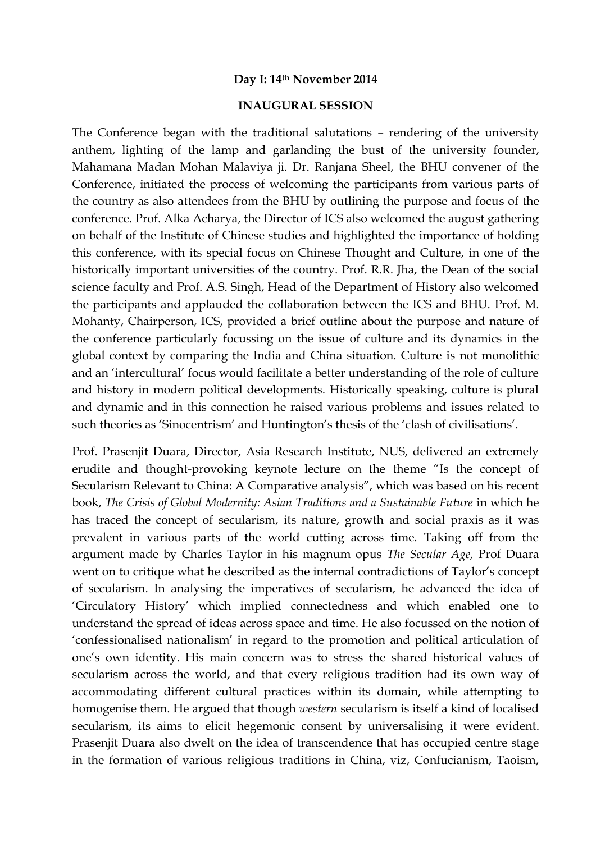#### **Day I: 14th November 2014**

#### **INAUGURAL SESSION**

The Conference began with the traditional salutations – rendering of the university anthem, lighting of the lamp and garlanding the bust of the university founder, Mahamana Madan Mohan Malaviya ji. Dr. Ranjana Sheel, the BHU convener of the Conference, initiated the process of welcoming the participants from various parts of the country as also attendees from the BHU by outlining the purpose and focus of the conference. Prof. Alka Acharya, the Director of ICS also welcomed the august gathering on behalf of the Institute of Chinese studies and highlighted the importance of holding this conference, with its special focus on Chinese Thought and Culture, in one of the historically important universities of the country. Prof. R.R. Jha, the Dean of the social science faculty and Prof. A.S. Singh, Head of the Department of History also welcomed the participants and applauded the collaboration between the ICS and BHU. Prof. M. Mohanty, Chairperson, ICS, provided a brief outline about the purpose and nature of the conference particularly focussing on the issue of culture and its dynamics in the global context by comparing the India and China situation. Culture is not monolithic and an 'intercultural' focus would facilitate a better understanding of the role of culture and history in modern political developments. Historically speaking, culture is plural and dynamic and in this connection he raised various problems and issues related to such theories as 'Sinocentrism' and Huntington's thesis of the 'clash of civilisations'.

Prof. Prasenjit Duara, Director, Asia Research Institute, NUS, delivered an extremely erudite and thought-provoking keynote lecture on the theme "Is the concept of Secularism Relevant to China: A Comparative analysis", which was based on his recent book, *The Crisis of Global Modernity: Asian Traditions and a Sustainable Future* in which he has traced the concept of secularism, its nature, growth and social praxis as it was prevalent in various parts of the world cutting across time. Taking off from the argument made by Charles Taylor in his magnum opus *The Secular Age,* Prof Duara went on to critique what he described as the internal contradictions of Taylor's concept of secularism. In analysing the imperatives of secularism, he advanced the idea of 'Circulatory History' which implied connectedness and which enabled one to understand the spread of ideas across space and time. He also focussed on the notion of 'confessionalised nationalism' in regard to the promotion and political articulation of one's own identity. His main concern was to stress the shared historical values of secularism across the world, and that every religious tradition had its own way of accommodating different cultural practices within its domain, while attempting to homogenise them. He argued that though *western* secularism is itself a kind of localised secularism, its aims to elicit hegemonic consent by universalising it were evident. Prasenjit Duara also dwelt on the idea of transcendence that has occupied centre stage in the formation of various religious traditions in China, viz, Confucianism, Taoism,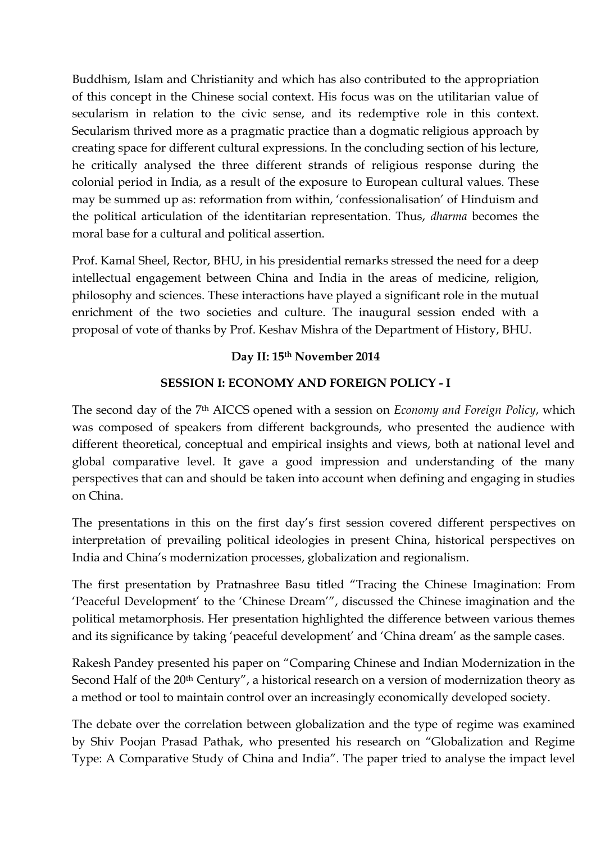Buddhism, Islam and Christianity and which has also contributed to the appropriation of this concept in the Chinese social context. His focus was on the utilitarian value of secularism in relation to the civic sense, and its redemptive role in this context. Secularism thrived more as a pragmatic practice than a dogmatic religious approach by creating space for different cultural expressions. In the concluding section of his lecture, he critically analysed the three different strands of religious response during the colonial period in India, as a result of the exposure to European cultural values. These may be summed up as: reformation from within, 'confessionalisation' of Hinduism and the political articulation of the identitarian representation. Thus, *dharma* becomes the moral base for a cultural and political assertion.

Prof. Kamal Sheel, Rector, BHU, in his presidential remarks stressed the need for a deep intellectual engagement between China and India in the areas of medicine, religion, philosophy and sciences. These interactions have played a significant role in the mutual enrichment of the two societies and culture. The inaugural session ended with a proposal of vote of thanks by Prof. Keshav Mishra of the Department of History, BHU.

## **Day II: 15th November 2014**

## **SESSION I: ECONOMY AND FOREIGN POLICY - I**

The second day of the 7th AICCS opened with a session on *Economy and Foreign Policy*, which was composed of speakers from different backgrounds, who presented the audience with different theoretical, conceptual and empirical insights and views, both at national level and global comparative level. It gave a good impression and understanding of the many perspectives that can and should be taken into account when defining and engaging in studies on China.

The presentations in this on the first day's first session covered different perspectives on interpretation of prevailing political ideologies in present China, historical perspectives on India and China's modernization processes, globalization and regionalism.

The first presentation by Pratnashree Basu titled "Tracing the Chinese Imagination: From 'Peaceful Development' to the 'Chinese Dream'", discussed the Chinese imagination and the political metamorphosis. Her presentation highlighted the difference between various themes and its significance by taking 'peaceful development' and 'China dream' as the sample cases.

Rakesh Pandey presented his paper on "Comparing Chinese and Indian Modernization in the Second Half of the 20<sup>th</sup> Century", a historical research on a version of modernization theory as a method or tool to maintain control over an increasingly economically developed society.

The debate over the correlation between globalization and the type of regime was examined by Shiv Poojan Prasad Pathak, who presented his research on "Globalization and Regime Type: A Comparative Study of China and India". The paper tried to analyse the impact level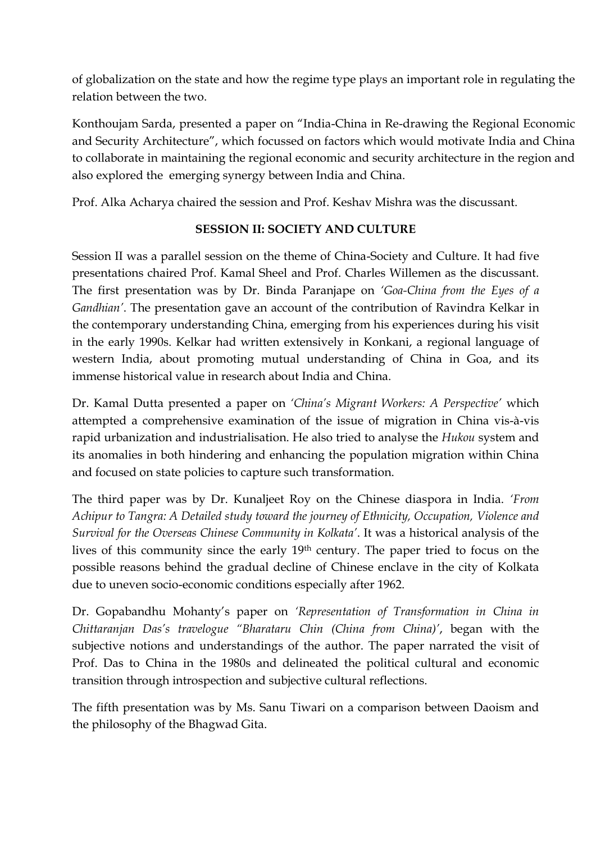of globalization on the state and how the regime type plays an important role in regulating the relation between the two.

Konthoujam Sarda, presented a paper on "India-China in Re-drawing the Regional Economic and Security Architecture", which focussed on factors which would motivate India and China to collaborate in maintaining the regional economic and security architecture in the region and also explored the emerging synergy between India and China.

Prof. Alka Acharya chaired the session and Prof. Keshav Mishra was the discussant.

## **SESSION II: SOCIETY AND CULTURE**

Session II was a parallel session on the theme of China-Society and Culture. It had five presentations chaired Prof. Kamal Sheel and Prof. Charles Willemen as the discussant. The first presentation was by Dr. Binda Paranjape on *'Goa-China from the Eyes of a Gandhian'*. The presentation gave an account of the contribution of Ravindra Kelkar in the contemporary understanding China, emerging from his experiences during his visit in the early 1990s. Kelkar had written extensively in Konkani, a regional language of western India, about promoting mutual understanding of China in Goa, and its immense historical value in research about India and China.

Dr. Kamal Dutta presented a paper on *'China's Migrant Workers: A Perspective'* which attempted a comprehensive examination of the issue of migration in China vis-à-vis rapid urbanization and industrialisation. He also tried to analyse the *Hukou* system and its anomalies in both hindering and enhancing the population migration within China and focused on state policies to capture such transformation.

The third paper was by Dr. Kunaljeet Roy on the Chinese diaspora in India. *'From Achipur to Tangra: A Detailed study toward the journey of Ethnicity, Occupation, Violence and Survival for the Overseas Chinese Community in Kolkata'*. It was a historical analysis of the lives of this community since the early 19th century. The paper tried to focus on the possible reasons behind the gradual decline of Chinese enclave in the city of Kolkata due to uneven socio-economic conditions especially after 1962.

Dr. Gopabandhu Mohanty's paper on *'Representation of Transformation in China in Chittaranjan Das's travelogue "Bharataru Chin (China from China)'*, began with the subjective notions and understandings of the author. The paper narrated the visit of Prof. Das to China in the 1980s and delineated the political cultural and economic transition through introspection and subjective cultural reflections.

The fifth presentation was by Ms. Sanu Tiwari on a comparison between Daoism and the philosophy of the Bhagwad Gita.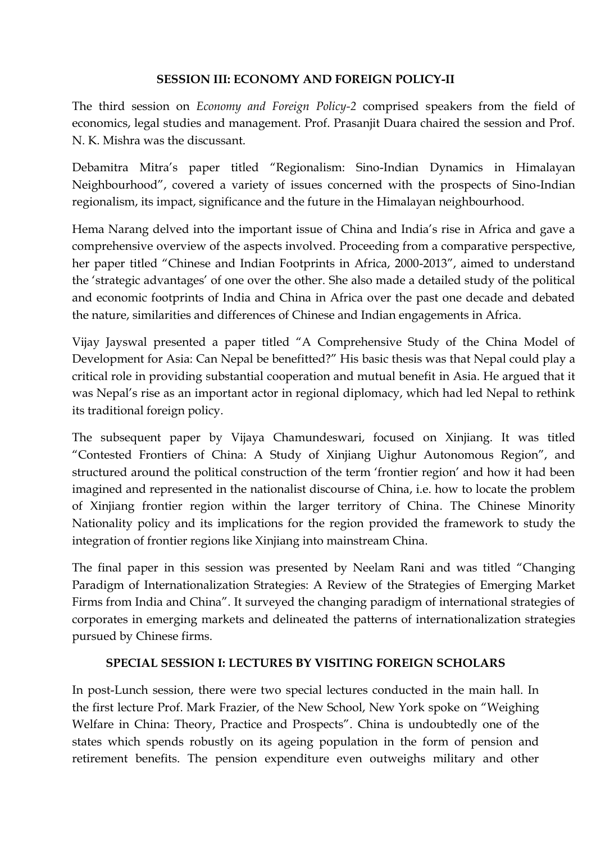#### **SESSION III: ECONOMY AND FOREIGN POLICY-II**

The third session on *Economy and Foreign Policy-2* comprised speakers from the field of economics, legal studies and management. Prof. Prasanjit Duara chaired the session and Prof. N. K. Mishra was the discussant.

Debamitra Mitra's paper titled "Regionalism: Sino-Indian Dynamics in Himalayan Neighbourhood", covered a variety of issues concerned with the prospects of Sino-Indian regionalism, its impact, significance and the future in the Himalayan neighbourhood.

Hema Narang delved into the important issue of China and India's rise in Africa and gave a comprehensive overview of the aspects involved. Proceeding from a comparative perspective, her paper titled "Chinese and Indian Footprints in Africa, 2000-2013", aimed to understand the 'strategic advantages' of one over the other. She also made a detailed study of the political and economic footprints of India and China in Africa over the past one decade and debated the nature, similarities and differences of Chinese and Indian engagements in Africa.

Vijay Jayswal presented a paper titled "A Comprehensive Study of the China Model of Development for Asia: Can Nepal be benefitted?" His basic thesis was that Nepal could play a critical role in providing substantial cooperation and mutual benefit in Asia. He argued that it was Nepal's rise as an important actor in regional diplomacy, which had led Nepal to rethink its traditional foreign policy.

The subsequent paper by Vijaya Chamundeswari, focused on Xinjiang. It was titled "Contested Frontiers of China: A Study of Xinjiang Uighur Autonomous Region", and structured around the political construction of the term 'frontier region' and how it had been imagined and represented in the nationalist discourse of China, i.e. how to locate the problem of Xinjiang frontier region within the larger territory of China. The Chinese Minority Nationality policy and its implications for the region provided the framework to study the integration of frontier regions like Xinjiang into mainstream China.

The final paper in this session was presented by Neelam Rani and was titled "Changing Paradigm of Internationalization Strategies: A Review of the Strategies of Emerging Market Firms from India and China". It surveyed the changing paradigm of international strategies of corporates in emerging markets and delineated the patterns of internationalization strategies pursued by Chinese firms.

## **SPECIAL SESSION I: LECTURES BY VISITING FOREIGN SCHOLARS**

In post-Lunch session, there were two special lectures conducted in the main hall. In the first lecture Prof. Mark Frazier, of the New School, New York spoke on "Weighing Welfare in China: Theory, Practice and Prospects". China is undoubtedly one of the states which spends robustly on its ageing population in the form of pension and retirement benefits. The pension expenditure even outweighs military and other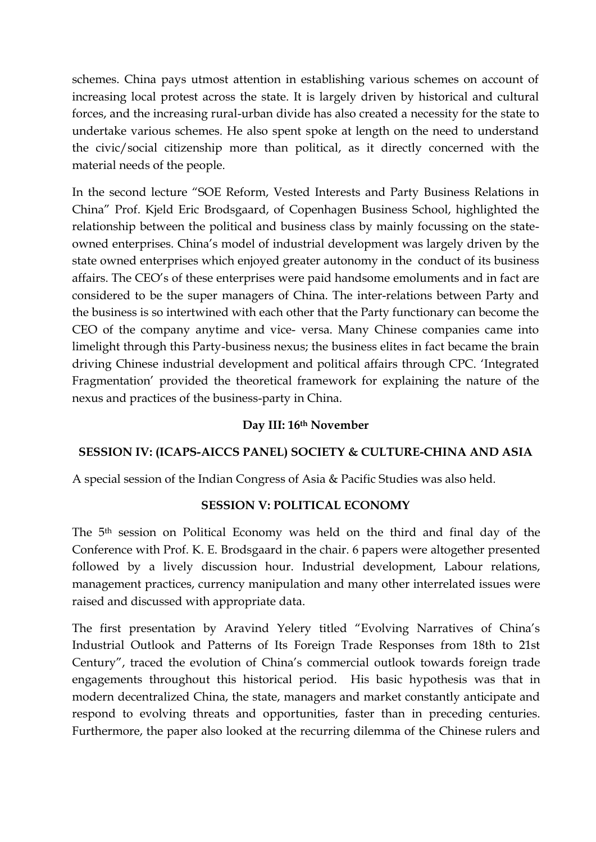schemes. China pays utmost attention in establishing various schemes on account of increasing local protest across the state. It is largely driven by historical and cultural forces, and the increasing rural-urban divide has also created a necessity for the state to undertake various schemes. He also spent spoke at length on the need to understand the civic/social citizenship more than political, as it directly concerned with the material needs of the people.

In the second lecture "SOE Reform, Vested Interests and Party Business Relations in China" Prof. Kjeld Eric Brodsgaard, of Copenhagen Business School, highlighted the relationship between the political and business class by mainly focussing on the stateowned enterprises. China's model of industrial development was largely driven by the state owned enterprises which enjoyed greater autonomy in the conduct of its business affairs. The CEO's of these enterprises were paid handsome emoluments and in fact are considered to be the super managers of China. The inter-relations between Party and the business is so intertwined with each other that the Party functionary can become the CEO of the company anytime and vice- versa. Many Chinese companies came into limelight through this Party-business nexus; the business elites in fact became the brain driving Chinese industrial development and political affairs through CPC. 'Integrated Fragmentation' provided the theoretical framework for explaining the nature of the nexus and practices of the business-party in China.

#### **Day III: 16th November**

## **SESSION IV: (ICAPS-AICCS PANEL) SOCIETY & CULTURE-CHINA AND ASIA**

A special session of the Indian Congress of Asia & Pacific Studies was also held.

## **SESSION V: POLITICAL ECONOMY**

The 5th session on Political Economy was held on the third and final day of the Conference with Prof. K. E. Brodsgaard in the chair. 6 papers were altogether presented followed by a lively discussion hour. Industrial development, Labour relations, management practices, currency manipulation and many other interrelated issues were raised and discussed with appropriate data.

The first presentation by Aravind Yelery titled "Evolving Narratives of China's Industrial Outlook and Patterns of Its Foreign Trade Responses from 18th to 21st Century", traced the evolution of China's commercial outlook towards foreign trade engagements throughout this historical period. His basic hypothesis was that in modern decentralized China, the state, managers and market constantly anticipate and respond to evolving threats and opportunities, faster than in preceding centuries. Furthermore, the paper also looked at the recurring dilemma of the Chinese rulers and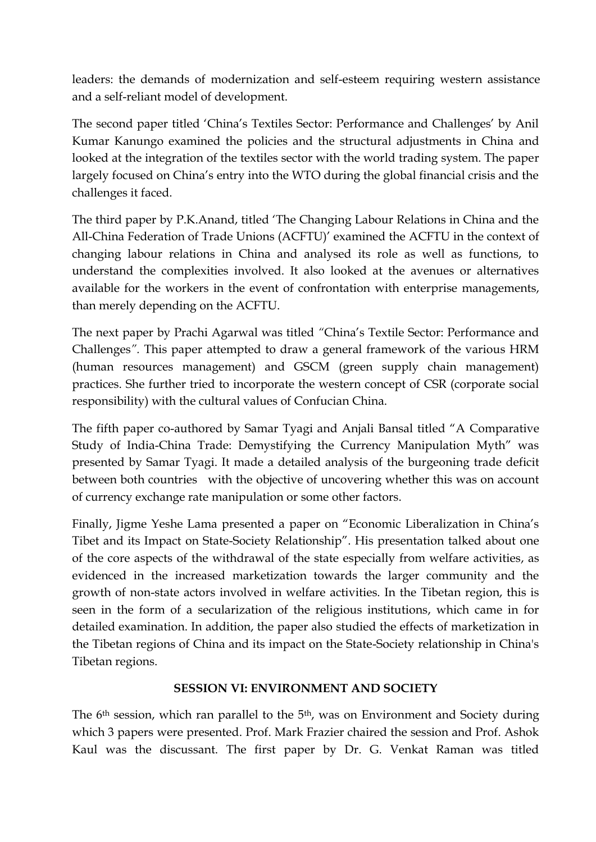leaders: the demands of modernization and self-esteem requiring western assistance and a self-reliant model of development.

The second paper titled 'China's Textiles Sector: Performance and Challenges' by Anil Kumar Kanungo examined the policies and the structural adjustments in China and looked at the integration of the textiles sector with the world trading system. The paper largely focused on China's entry into the WTO during the global financial crisis and the challenges it faced.

The third paper by P.K.Anand, titled 'The Changing Labour Relations in China and the All-China Federation of Trade Unions (ACFTU)' examined the ACFTU in the context of changing labour relations in China and analysed its role as well as functions, to understand the complexities involved. It also looked at the avenues or alternatives available for the workers in the event of confrontation with enterprise managements, than merely depending on the ACFTU.

The next paper by Prachi Agarwal was titled *"*China's Textile Sector: Performance and Challenges*".* This paper attempted to draw a general framework of the various HRM (human resources management) and GSCM (green supply chain management) practices. She further tried to incorporate the western concept of CSR (corporate social responsibility) with the cultural values of Confucian China.

The fifth paper co-authored by Samar Tyagi and Anjali Bansal titled "A Comparative Study of India-China Trade: Demystifying the Currency Manipulation Myth" was presented by Samar Tyagi. It made a detailed analysis of the burgeoning trade deficit between both countries with the objective of uncovering whether this was on account of currency exchange rate manipulation or some other factors.

Finally, Jigme Yeshe Lama presented a paper on "Economic Liberalization in China's Tibet and its Impact on State-Society Relationship". His presentation talked about one of the core aspects of the withdrawal of the state especially from welfare activities, as evidenced in the increased marketization towards the larger community and the growth of non-state actors involved in welfare activities. In the Tibetan region, this is seen in the form of a secularization of the religious institutions, which came in for detailed examination. In addition, the paper also studied the effects of marketization in the Tibetan regions of China and its impact on the State-Society relationship in China's Tibetan regions.

#### **SESSION VI: ENVIRONMENT AND SOCIETY**

The 6<sup>th</sup> session, which ran parallel to the 5<sup>th</sup>, was on Environment and Society during which 3 papers were presented. Prof. Mark Frazier chaired the session and Prof. Ashok Kaul was the discussant. The first paper by Dr. G. Venkat Raman was titled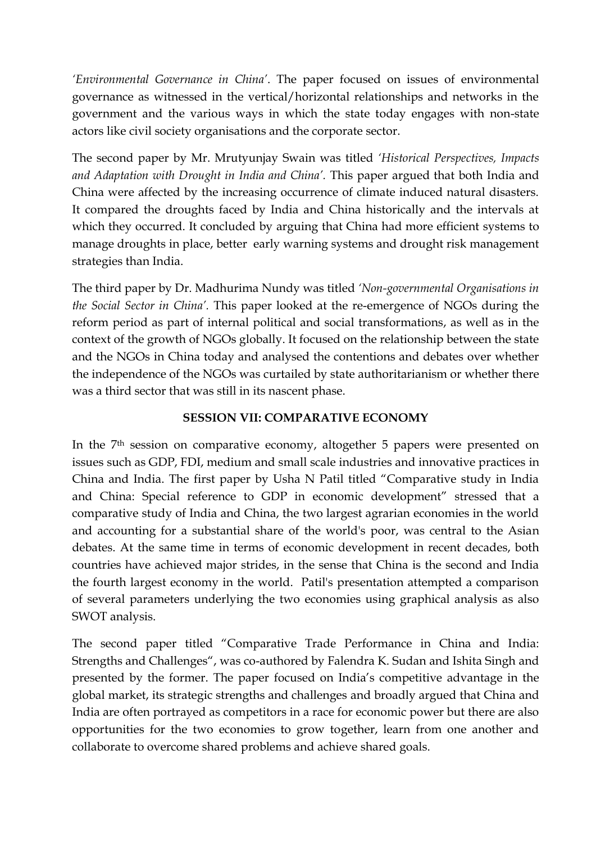*'Environmental Governance in China'*. The paper focused on issues of environmental governance as witnessed in the vertical/horizontal relationships and networks in the government and the various ways in which the state today engages with non-state actors like civil society organisations and the corporate sector.

The second paper by Mr. Mrutyunjay Swain was titled *'Historical Perspectives, Impacts and Adaptation with Drought in India and China'.* This paper argued that both India and China were affected by the increasing occurrence of climate induced natural disasters. It compared the droughts faced by India and China historically and the intervals at which they occurred. It concluded by arguing that China had more efficient systems to manage droughts in place, better early warning systems and drought risk management strategies than India.

The third paper by Dr. Madhurima Nundy was titled *'Non-governmental Organisations in the Social Sector in China'.* This paper looked at the re-emergence of NGOs during the reform period as part of internal political and social transformations, as well as in the context of the growth of NGOs globally. It focused on the relationship between the state and the NGOs in China today and analysed the contentions and debates over whether the independence of the NGOs was curtailed by state authoritarianism or whether there was a third sector that was still in its nascent phase.

## **SESSION VII: COMPARATIVE ECONOMY**

In the 7th session on comparative economy, altogether 5 papers were presented on issues such as GDP, FDI, medium and small scale industries and innovative practices in China and India. The first paper by Usha N Patil titled "Comparative study in India and China: Special reference to GDP in economic development" stressed that a comparative study of India and China, the two largest agrarian economies in the world and accounting for a substantial share of the world's poor, was central to the Asian debates. At the same time in terms of economic development in recent decades, both countries have achieved major strides, in the sense that China is the second and India the fourth largest economy in the world. Patil's presentation attempted a comparison of several parameters underlying the two economies using graphical analysis as also SWOT analysis.

The second paper titled "Comparative Trade Performance in China and India: Strengths and Challenges", was co-authored by Falendra K. Sudan and Ishita Singh and presented by the former. The paper focused on India's competitive advantage in the global market, its strategic strengths and challenges and broadly argued that China and India are often portrayed as competitors in a race for economic power but there are also opportunities for the two economies to grow together, learn from one another and collaborate to overcome shared problems and achieve shared goals.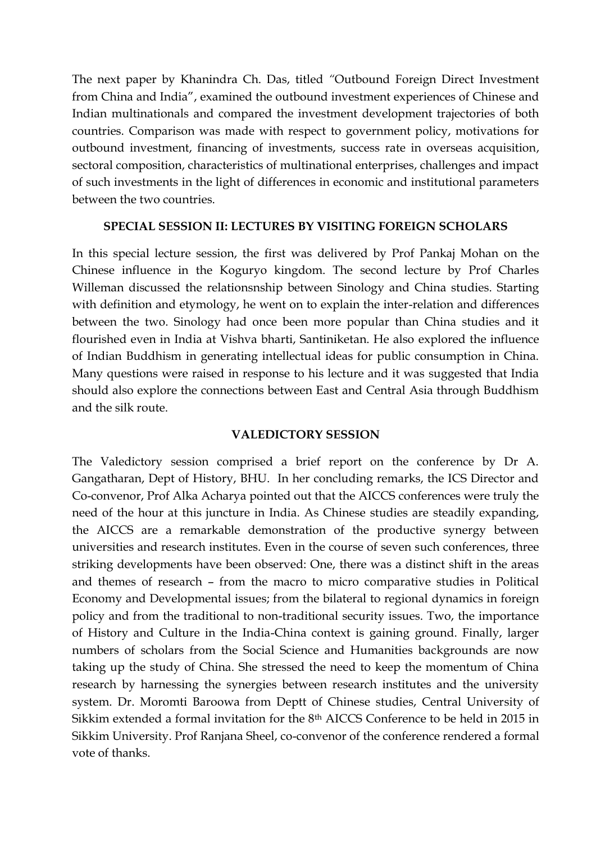The next paper by Khanindra Ch. Das, titled *"*Outbound Foreign Direct Investment from China and India", examined the outbound investment experiences of Chinese and Indian multinationals and compared the investment development trajectories of both countries. Comparison was made with respect to government policy, motivations for outbound investment, financing of investments, success rate in overseas acquisition, sectoral composition, characteristics of multinational enterprises, challenges and impact of such investments in the light of differences in economic and institutional parameters between the two countries.

#### **SPECIAL SESSION II: LECTURES BY VISITING FOREIGN SCHOLARS**

In this special lecture session, the first was delivered by Prof Pankaj Mohan on the Chinese influence in the Koguryo kingdom. The second lecture by Prof Charles Willeman discussed the relationsnship between Sinology and China studies. Starting with definition and etymology, he went on to explain the inter-relation and differences between the two. Sinology had once been more popular than China studies and it flourished even in India at Vishva bharti, Santiniketan. He also explored the influence of Indian Buddhism in generating intellectual ideas for public consumption in China. Many questions were raised in response to his lecture and it was suggested that India should also explore the connections between East and Central Asia through Buddhism and the silk route.

#### **VALEDICTORY SESSION**

The Valedictory session comprised a brief report on the conference by Dr A. Gangatharan, Dept of History, BHU. In her concluding remarks, the ICS Director and Co-convenor, Prof Alka Acharya pointed out that the AICCS conferences were truly the need of the hour at this juncture in India. As Chinese studies are steadily expanding, the AICCS are a remarkable demonstration of the productive synergy between universities and research institutes. Even in the course of seven such conferences, three striking developments have been observed: One, there was a distinct shift in the areas and themes of research – from the macro to micro comparative studies in Political Economy and Developmental issues; from the bilateral to regional dynamics in foreign policy and from the traditional to non-traditional security issues. Two, the importance of History and Culture in the India-China context is gaining ground. Finally, larger numbers of scholars from the Social Science and Humanities backgrounds are now taking up the study of China. She stressed the need to keep the momentum of China research by harnessing the synergies between research institutes and the university system. Dr. Moromti Baroowa from Deptt of Chinese studies, Central University of Sikkim extended a formal invitation for the 8th AICCS Conference to be held in 2015 in Sikkim University. Prof Ranjana Sheel, co-convenor of the conference rendered a formal vote of thanks.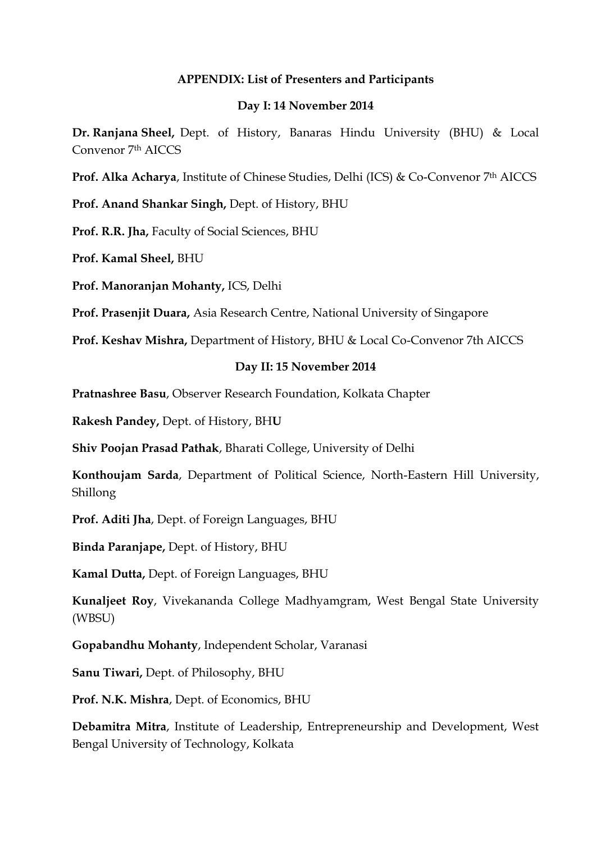#### **APPENDIX: List of Presenters and Participants**

#### **Day I: 14 November 2014**

**Dr. Ranjana Sheel,** Dept. of History, Banaras Hindu University (BHU) & Local Convenor 7th AICCS

**Prof. Alka Acharya**, Institute of Chinese Studies, Delhi (ICS) & Co-Convenor 7th AICCS

**Prof. Anand Shankar Singh,** Dept. of History, BHU

**Prof. R.R. Jha,** Faculty of Social Sciences, BHU

**Prof. Kamal Sheel,** BHU

**Prof. Manoranjan Mohanty,** ICS, Delhi

**Prof. Prasenjit Duara,** Asia Research Centre, National University of Singapore

**Prof. Keshav Mishra,** Department of History, BHU & Local Co-Convenor 7th AICCS

#### **Day II: 15 November 2014**

**Pratnashree Basu**, Observer Research Foundation, Kolkata Chapter

**Rakesh Pandey,** Dept. of History, BH**U**

**Shiv Poojan Prasad Pathak**, Bharati College, University of Delhi

**Konthoujam Sarda**, Department of Political Science, North-Eastern Hill University, Shillong

**Prof. Aditi Jha**, Dept. of Foreign Languages, BHU

**Binda Paranjape,** Dept. of History, BHU

**Kamal Dutta,** Dept. of Foreign Languages, BHU

**Kunaljeet Roy**, Vivekananda College Madhyamgram, West Bengal State University (WBSU)

**Gopabandhu Mohanty**, Independent Scholar, Varanasi

**Sanu Tiwari,** Dept. of Philosophy, BHU

**Prof. N.K. Mishra**, Dept. of Economics, BHU

**Debamitra Mitra**, Institute of Leadership, Entrepreneurship and Development, West Bengal University of Technology, Kolkata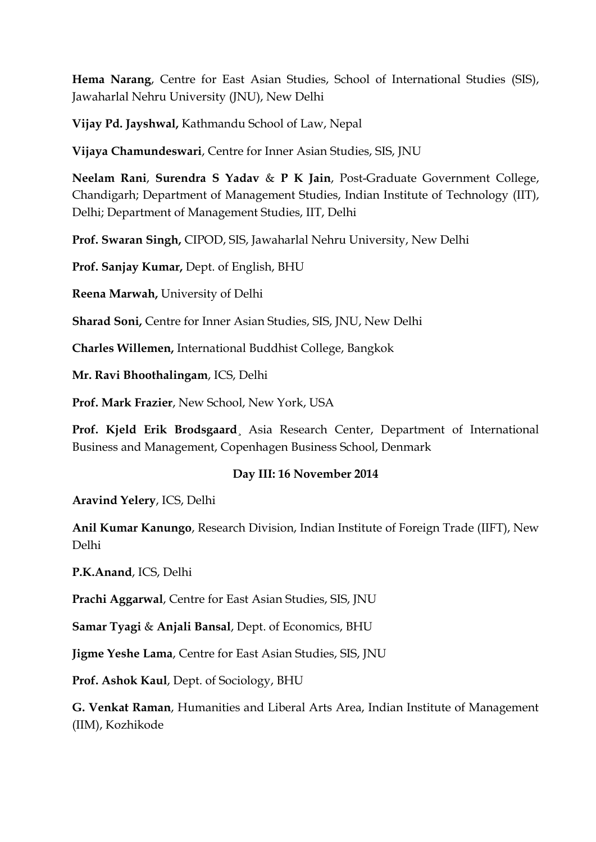**Hema Narang**, Centre for East Asian Studies, School of International Studies (SIS), Jawaharlal Nehru University (JNU), New Delhi

**Vijay Pd. Jayshwal,** Kathmandu School of Law, Nepal

**Vijaya Chamundeswari**, Centre for Inner Asian Studies, SIS, JNU

**Neelam Rani**, **Surendra S Yadav** & **P K Jain**, Post-Graduate Government College, Chandigarh; Department of Management Studies, Indian Institute of Technology (IIT), Delhi; Department of Management Studies, IIT, Delhi

**Prof. Swaran Singh,** CIPOD, SIS, Jawaharlal Nehru University, New Delhi

**Prof. Sanjay Kumar,** Dept. of English, BHU

**Reena Marwah,** University of Delhi

**Sharad Soni,** Centre for Inner Asian Studies, SIS, JNU, New Delhi

**Charles Willemen,** International Buddhist College, Bangkok

**Mr. Ravi Bhoothalingam**, ICS, Delhi

**Prof. Mark Frazier**, New School, New York, USA

**Prof. Kjeld Erik Brodsgaard**¸ Asia Research Center, Department of International Business and Management, Copenhagen Business School, Denmark

#### **Day III: 16 November 2014**

**Aravind Yelery**, ICS, Delhi

**Anil Kumar Kanungo**, Research Division, Indian Institute of Foreign Trade (IIFT), New Delhi

**P.K.Anand**, ICS, Delhi

**Prachi Aggarwal**, Centre for East Asian Studies, SIS, JNU

**Samar Tyagi** & **Anjali Bansal**, Dept. of Economics, BHU

**Jigme Yeshe Lama**, Centre for East Asian Studies, SIS, JNU

**Prof. Ashok Kaul**, Dept. of Sociology, BHU

**G. Venkat Raman**, Humanities and Liberal Arts Area, Indian Institute of Management (IIM), Kozhikode